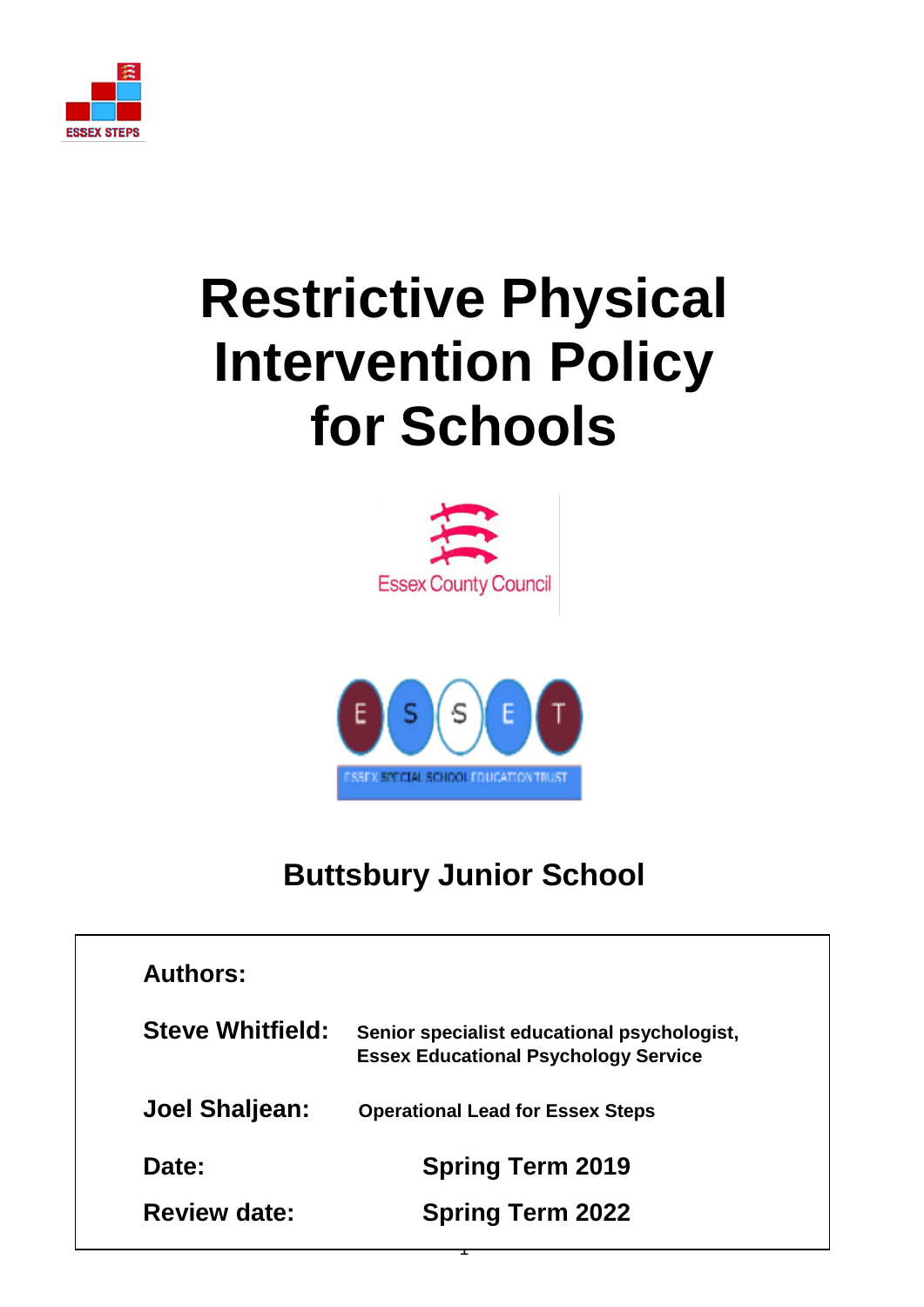

# **Restrictive Physical Intervention Policy for Schools**





# **Buttsbury Junior School**

| <b>Authors:</b>         |                                                                                            |
|-------------------------|--------------------------------------------------------------------------------------------|
| <b>Steve Whitfield:</b> | Senior specialist educational psychologist,<br><b>Essex Educational Psychology Service</b> |
| Joel Shaljean:          | <b>Operational Lead for Essex Steps</b>                                                    |
| Date:                   | <b>Spring Term 2019</b>                                                                    |
| <b>Review date:</b>     | <b>Spring Term 2022</b>                                                                    |

 $\mathbf{r}$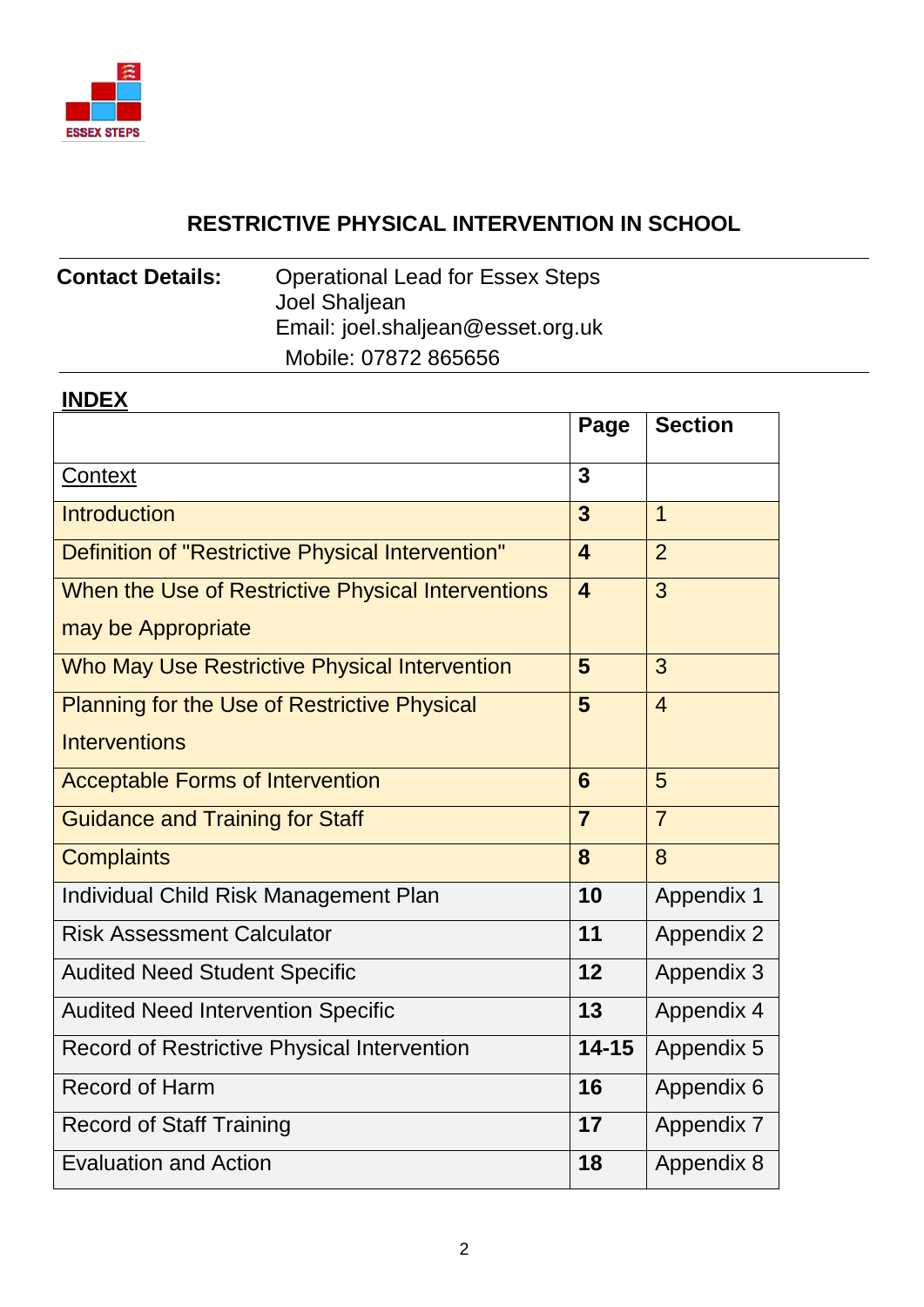

# **RESTRICTIVE PHYSICAL INTERVENTION IN SCHOOL**

# **Contact Details:** Operational Lead for Essex Steps Joel Shaljean Email: joel.shaljean@esset.org.uk Mobile: 07872 865656

### **INDEX**

|                                                     | Page                    | <b>Section</b>    |
|-----------------------------------------------------|-------------------------|-------------------|
| Context                                             | 3                       |                   |
| <b>Introduction</b>                                 | 3                       | 1                 |
| Definition of "Restrictive Physical Intervention"   | $\overline{\mathbf{4}}$ | $\overline{2}$    |
| When the Use of Restrictive Physical Interventions  | $\overline{\mathbf{4}}$ | 3                 |
| may be Appropriate                                  |                         |                   |
| Who May Use Restrictive Physical Intervention       | 5                       | 3                 |
| <b>Planning for the Use of Restrictive Physical</b> | $5\phantom{1}$          | $\overline{4}$    |
| <b>Interventions</b>                                |                         |                   |
| <b>Acceptable Forms of Intervention</b>             | 6                       | 5                 |
| <b>Guidance and Training for Staff</b>              | $\overline{7}$          | $\overline{7}$    |
| <b>Complaints</b>                                   | 8                       | 8                 |
| <b>Individual Child Risk Management Plan</b>        | 10                      | <b>Appendix 1</b> |
| <b>Risk Assessment Calculator</b>                   | 11                      | <b>Appendix 2</b> |
| <b>Audited Need Student Specific</b>                | 12                      | Appendix 3        |
| <b>Audited Need Intervention Specific</b>           | 13                      | Appendix 4        |
| <b>Record of Restrictive Physical Intervention</b>  | $14 - 15$               | Appendix 5        |
| <b>Record of Harm</b>                               | 16                      | Appendix 6        |
| <b>Record of Staff Training</b>                     | 17                      | <b>Appendix 7</b> |
| <b>Evaluation and Action</b>                        | 18                      | Appendix 8        |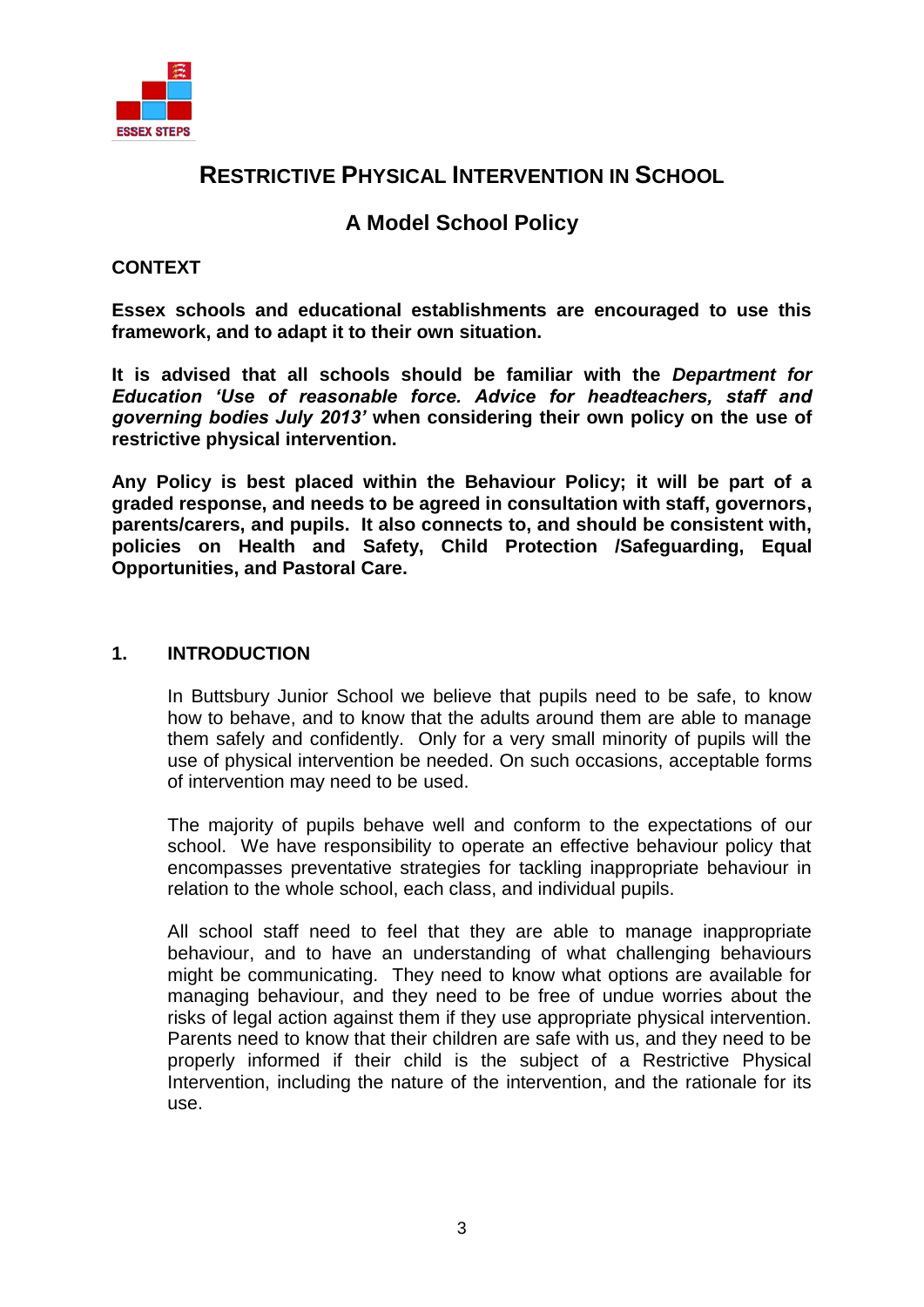

# **RESTRICTIVE PHYSICAL INTERVENTION IN SCHOOL**

### **A Model School Policy**

#### <span id="page-2-0"></span>**CONTEXT**

**Essex schools and educational establishments are encouraged to use this framework, and to adapt it to their own situation.**

**It is advised that all schools should be familiar with the** *Department for Education 'Use of reasonable force. Advice for headteachers, staff and governing bodies July 2013'* **when considering their own policy on the use of restrictive physical intervention.**

**Any Policy is best placed within the Behaviour Policy; it will be part of a graded response, and needs to be agreed in consultation with staff, governors, parents/carers, and pupils. It also connects to, and should be consistent with, policies on Health and Safety, Child Protection /Safeguarding, Equal Opportunities, and Pastoral Care.**

#### **1. INTRODUCTION**

<span id="page-2-1"></span>In Buttsbury Junior School we believe that pupils need to be safe, to know how to behave, and to know that the adults around them are able to manage them safely and confidently. Only for a very small minority of pupils will the use of physical intervention be needed. On such occasions, acceptable forms of intervention may need to be used.

The majority of pupils behave well and conform to the expectations of our school. We have responsibility to operate an effective behaviour policy that encompasses preventative strategies for tackling inappropriate behaviour in relation to the whole school, each class, and individual pupils.

All school staff need to feel that they are able to manage inappropriate behaviour, and to have an understanding of what challenging behaviours might be communicating. They need to know what options are available for managing behaviour, and they need to be free of undue worries about the risks of legal action against them if they use appropriate physical intervention. Parents need to know that their children are safe with us, and they need to be properly informed if their child is the subject of a Restrictive Physical Intervention, including the nature of the intervention, and the rationale for its use.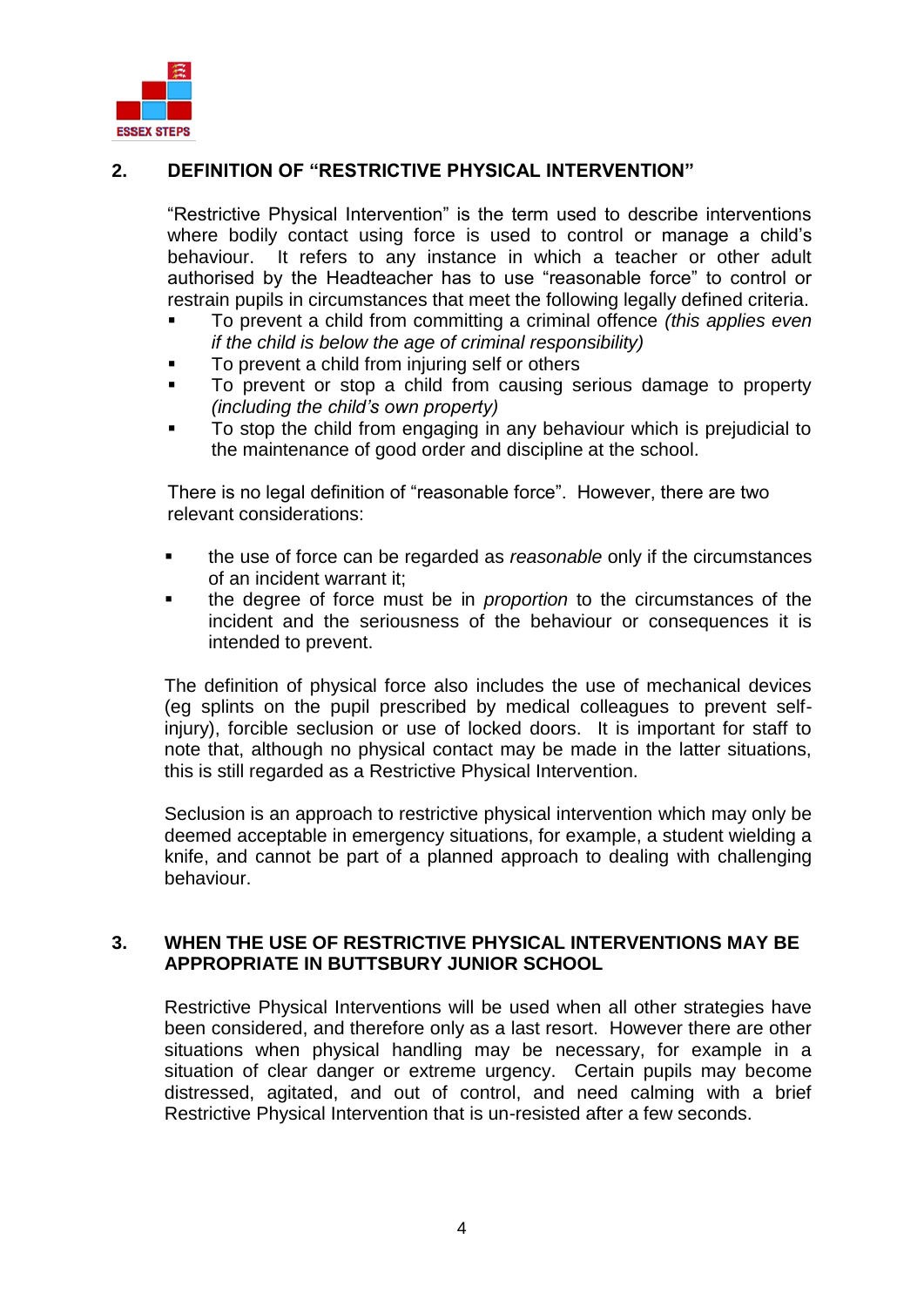

### **2. DEFINITION OF "RESTRICTIVE PHYSICAL INTERVENTION"**

<span id="page-3-0"></span>"Restrictive Physical Intervention" is the term used to describe interventions where bodily contact using force is used to control or manage a child's behaviour. It refers to any instance in which a teacher or other adult authorised by the Headteacher has to use "reasonable force" to control or restrain pupils in circumstances that meet the following legally defined criteria.

- To prevent a child from committing a criminal offence *(this applies even if the child is below the age of criminal responsibility)*
- **To prevent a child from injuring self or others**
- To prevent or stop a child from causing serious damage to property *(including the child's own property)*
- To stop the child from engaging in any behaviour which is prejudicial to the maintenance of good order and discipline at the school.

There is no legal definition of "reasonable force". However, there are two relevant considerations:

- the use of force can be regarded as *reasonable* only if the circumstances of an incident warrant it;
- the degree of force must be in *proportion* to the circumstances of the incident and the seriousness of the behaviour or consequences it is intended to prevent.

The definition of physical force also includes the use of mechanical devices (eg splints on the pupil prescribed by medical colleagues to prevent selfinjury), forcible seclusion or use of locked doors. It is important for staff to note that, although no physical contact may be made in the latter situations, this is still regarded as a Restrictive Physical Intervention.

Seclusion is an approach to restrictive physical intervention which may only be deemed acceptable in emergency situations, for example, a student wielding a knife, and cannot be part of a planned approach to dealing with challenging behaviour.

#### <span id="page-3-1"></span>**3. WHEN THE USE OF RESTRICTIVE PHYSICAL INTERVENTIONS MAY BE APPROPRIATE IN BUTTSBURY JUNIOR SCHOOL**

Restrictive Physical Interventions will be used when all other strategies have been considered, and therefore only as a last resort. However there are other situations when physical handling may be necessary, for example in a situation of clear danger or extreme urgency. Certain pupils may become distressed, agitated, and out of control, and need calming with a brief Restrictive Physical Intervention that is un-resisted after a few seconds.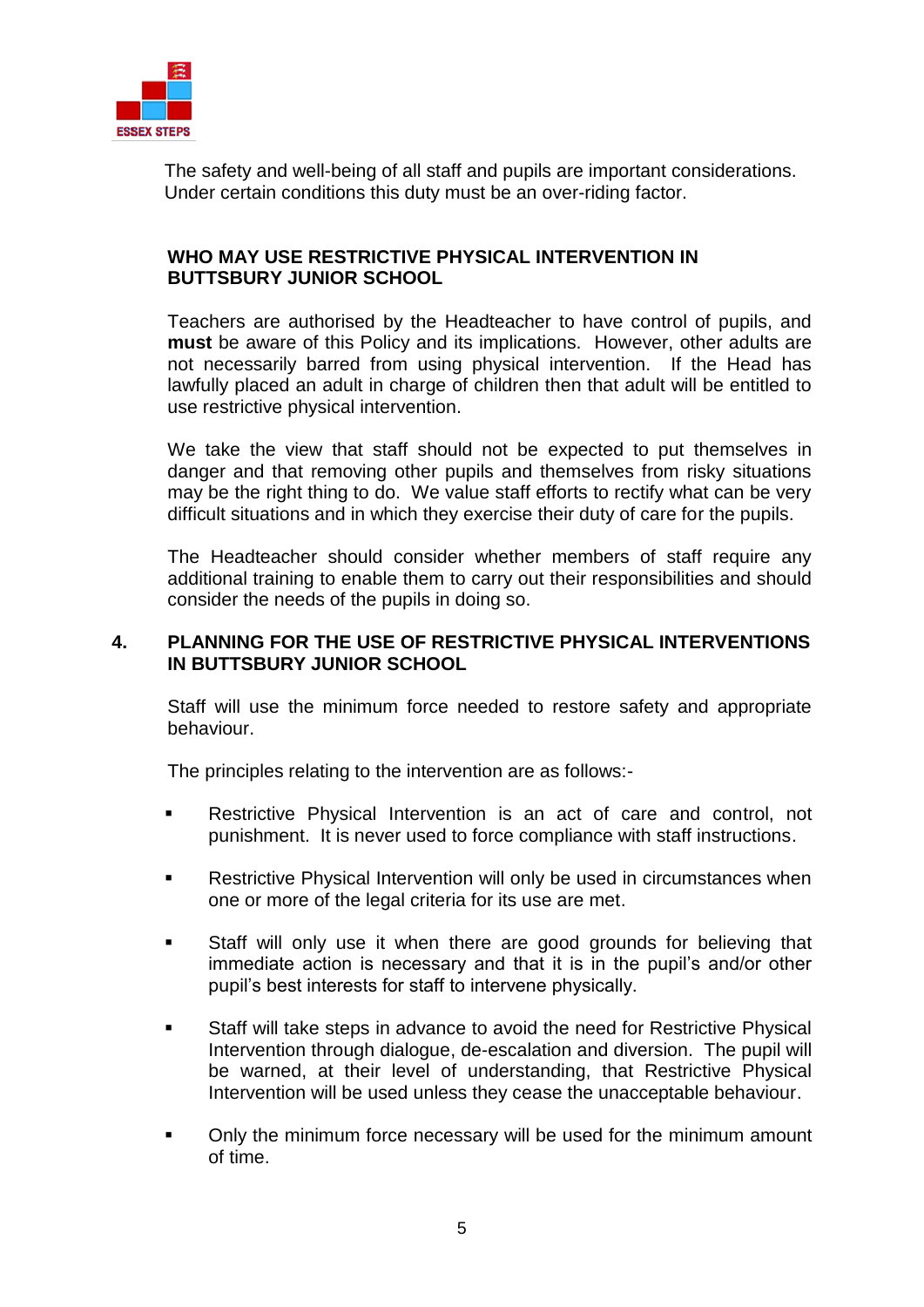

The safety and well-being of all staff and pupils are important considerations. Under certain conditions this duty must be an over-riding factor.

#### **WHO MAY USE RESTRICTIVE PHYSICAL INTERVENTION IN BUTTSBURY JUNIOR SCHOOL**

Teachers are authorised by the Headteacher to have control of pupils, and **must** be aware of this Policy and its implications. However, other adults are not necessarily barred from using physical intervention. If the Head has lawfully placed an adult in charge of children then that adult will be entitled to use restrictive physical intervention.

We take the view that staff should not be expected to put themselves in danger and that removing other pupils and themselves from risky situations may be the right thing to do. We value staff efforts to rectify what can be very difficult situations and in which they exercise their duty of care for the pupils.

The Headteacher should consider whether members of staff require any additional training to enable them to carry out their responsibilities and should consider the needs of the pupils in doing so.

#### <span id="page-4-0"></span>**4. PLANNING FOR THE USE OF RESTRICTIVE PHYSICAL INTERVENTIONS IN BUTTSBURY JUNIOR SCHOOL**

Staff will use the minimum force needed to restore safety and appropriate behaviour.

The principles relating to the intervention are as follows:-

- **EXECT:** Restrictive Physical Intervention is an act of care and control, not punishment. It is never used to force compliance with staff instructions.
- **Restrictive Physical Intervention will only be used in circumstances when** one or more of the legal criteria for its use are met.
- Staff will only use it when there are good grounds for believing that immediate action is necessary and that it is in the pupil's and/or other pupil's best interests for staff to intervene physically.
- Staff will take steps in advance to avoid the need for Restrictive Physical Intervention through dialogue, de-escalation and diversion. The pupil will be warned, at their level of understanding, that Restrictive Physical Intervention will be used unless they cease the unacceptable behaviour.
- Only the minimum force necessary will be used for the minimum amount of time.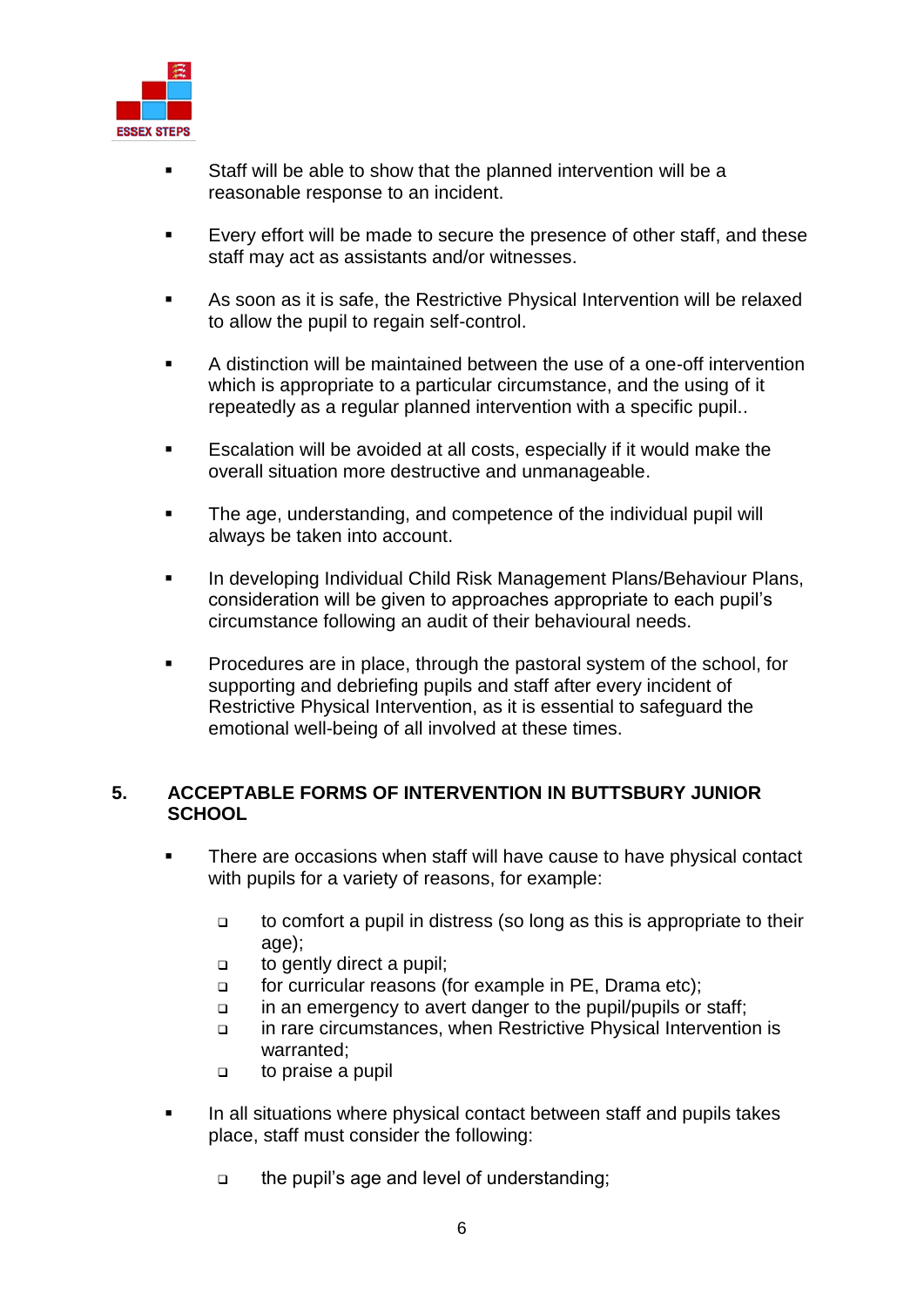

- Staff will be able to show that the planned intervention will be a reasonable response to an incident.
- Every effort will be made to secure the presence of other staff, and these staff may act as assistants and/or witnesses.
- As soon as it is safe, the Restrictive Physical Intervention will be relaxed to allow the pupil to regain self-control.
- A distinction will be maintained between the use of a one-off intervention which is appropriate to a particular circumstance, and the using of it repeatedly as a regular planned intervention with a specific pupil..
- Escalation will be avoided at all costs, especially if it would make the overall situation more destructive and unmanageable.
- The age, understanding, and competence of the individual pupil will always be taken into account.
- **In developing Individual Child Risk Management Plans/Behaviour Plans,** consideration will be given to approaches appropriate to each pupil's circumstance following an audit of their behavioural needs.
- **Procedures are in place, through the pastoral system of the school, for** supporting and debriefing pupils and staff after every incident of Restrictive Physical Intervention, as it is essential to safeguard the emotional well-being of all involved at these times.

#### <span id="page-5-0"></span>**5. ACCEPTABLE FORMS OF INTERVENTION IN BUTTSBURY JUNIOR SCHOOL**

- **There are occasions when staff will have cause to have physical contact** with pupils for a variety of reasons, for example:
	- $\Box$  to comfort a pupil in distress (so long as this is appropriate to their age):
	- to gently direct a pupil;
	- for curricular reasons (for example in PE, Drama etc);
	- in an emergency to avert danger to the pupil/pupils or staff;
	- in rare circumstances, when Restrictive Physical Intervention is warranted;
	- to praise a pupil
- In all situations where physical contact between staff and pupils takes place, staff must consider the following:
	- □ the pupil's age and level of understanding;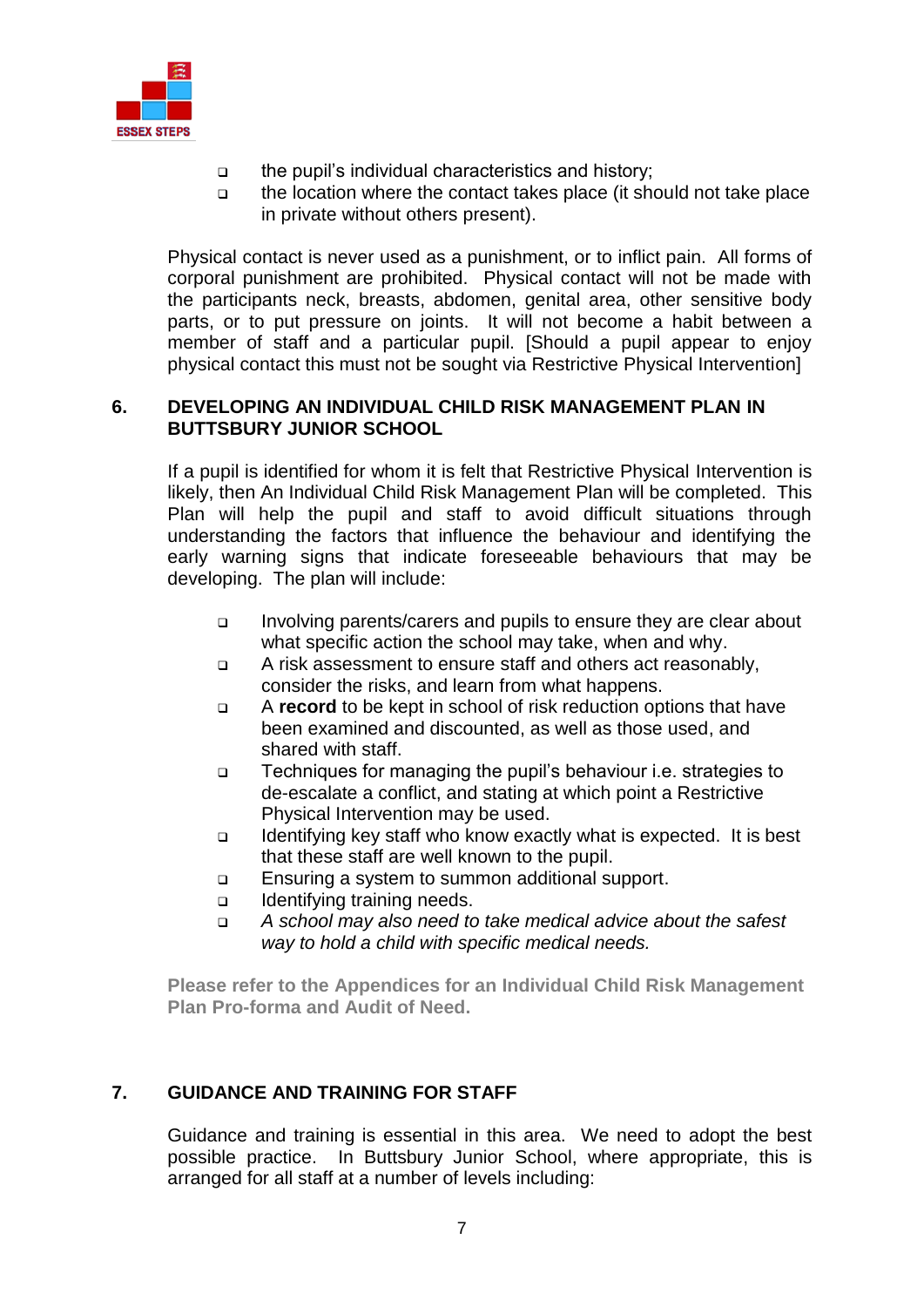

- the pupil's individual characteristics and history;
- $\Box$  the location where the contact takes place (it should not take place in private without others present).

Physical contact is never used as a punishment, or to inflict pain. All forms of corporal punishment are prohibited. Physical contact will not be made with the participants neck, breasts, abdomen, genital area, other sensitive body parts, or to put pressure on joints. It will not become a habit between a member of staff and a particular pupil. [Should a pupil appear to enjoy physical contact this must not be sought via Restrictive Physical Intervention]

#### **6. DEVELOPING AN INDIVIDUAL CHILD RISK MANAGEMENT PLAN IN BUTTSBURY JUNIOR SCHOOL**

If a pupil is identified for whom it is felt that Restrictive Physical Intervention is likely, then An Individual Child Risk Management Plan will be completed. This Plan will help the pupil and staff to avoid difficult situations through understanding the factors that influence the behaviour and identifying the early warning signs that indicate foreseeable behaviours that may be developing. The plan will include:

- Involving parents/carers and pupils to ensure they are clear about what specific action the school may take, when and why.
- A risk assessment to ensure staff and others act reasonably, consider the risks, and learn from what happens.
- A **record** to be kept in school of risk reduction options that have been examined and discounted, as well as those used, and shared with staff.
- □ Techniques for managing the pupil's behaviour i.e. strategies to de-escalate a conflict, and stating at which point a Restrictive Physical Intervention may be used.
- $\Box$  Identifying key staff who know exactly what is expected. It is best that these staff are well known to the pupil.
- Ensuring a system to summon additional support.
- Identifying training needs.
- *A school may also need to take medical advice about the safest way to hold a child with specific medical needs.*

**Please refer to the Appendices for an Individual Child Risk Management Plan Pro-forma and Audit of Need.**

### **7. GUIDANCE AND TRAINING FOR STAFF**

<span id="page-6-0"></span>Guidance and training is essential in this area. We need to adopt the best possible practice. In Buttsbury Junior School, where appropriate, this is arranged for all staff at a number of levels including: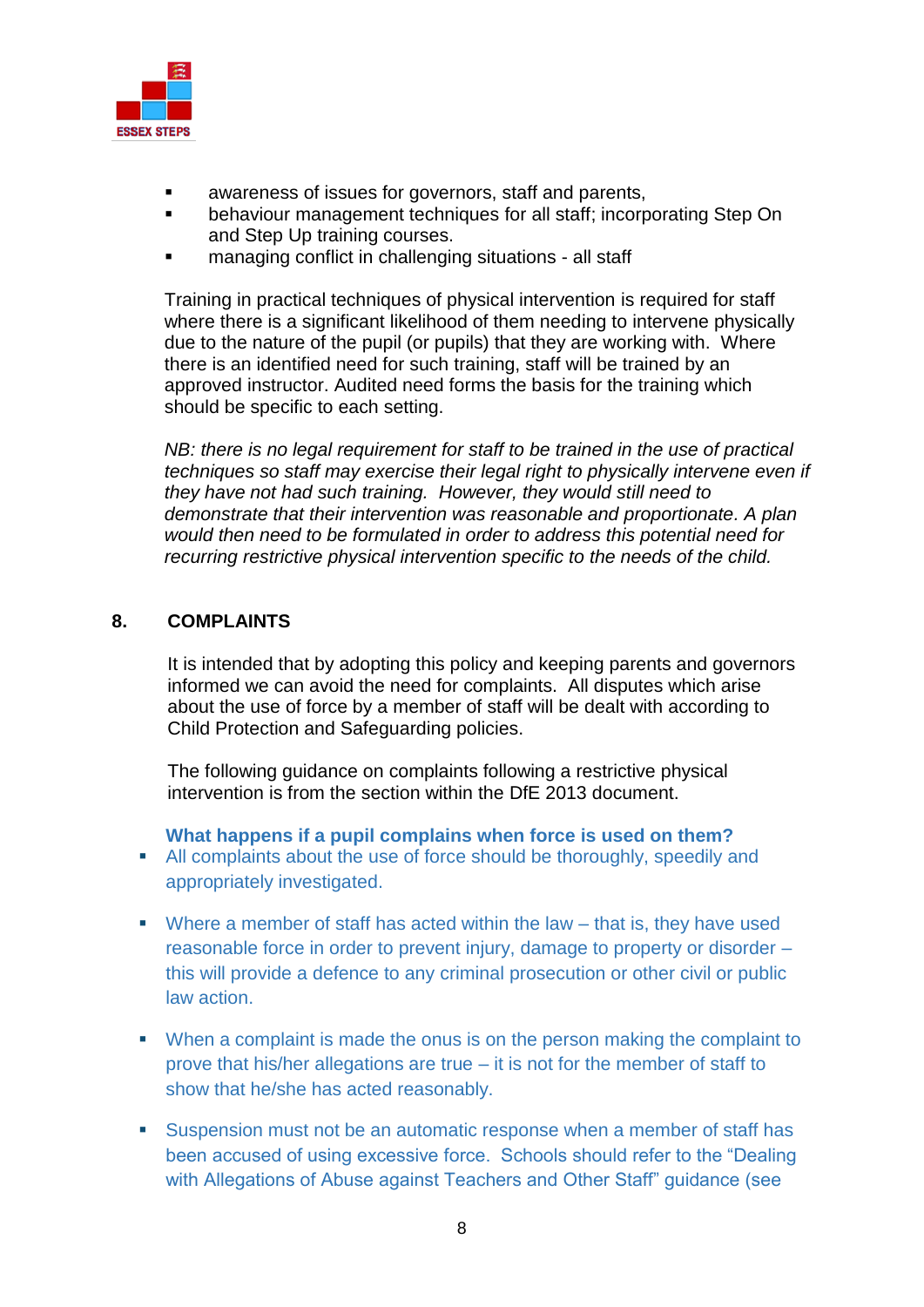

- awareness of issues for governors, staff and parents,
- behaviour management techniques for all staff; incorporating Step On and Step Up training courses.
- managing conflict in challenging situations all staff

Training in practical techniques of physical intervention is required for staff where there is a significant likelihood of them needing to intervene physically due to the nature of the pupil (or pupils) that they are working with. Where there is an identified need for such training, staff will be trained by an approved instructor. Audited need forms the basis for the training which should be specific to each setting.

*NB: there is no legal requirement for staff to be trained in the use of practical techniques so staff may exercise their legal right to physically intervene even if they have not had such training. However, they would still need to demonstrate that their intervention was reasonable and proportionate. A plan would then need to be formulated in order to address this potential need for recurring restrictive physical intervention specific to the needs of the child.*

### **8. COMPLAINTS**

<span id="page-7-0"></span>It is intended that by adopting this policy and keeping parents and governors informed we can avoid the need for complaints. All disputes which arise about the use of force by a member of staff will be dealt with according to Child Protection and Safeguarding policies.

The following guidance on complaints following a restrictive physical intervention is from the section within the DfE 2013 document.

**What happens if a pupil complains when force is used on them?** 

- All complaints about the use of force should be thoroughly, speedily and appropriately investigated.
- $\blacksquare$  Where a member of staff has acted within the law that is, they have used reasonable force in order to prevent injury, damage to property or disorder – this will provide a defence to any criminal prosecution or other civil or public law action.
- When a complaint is made the onus is on the person making the complaint to prove that his/her allegations are true – it is not for the member of staff to show that he/she has acted reasonably.
- Suspension must not be an automatic response when a member of staff has been accused of using excessive force. Schools should refer to the "Dealing with Allegations of Abuse against Teachers and Other Staff" guidance (see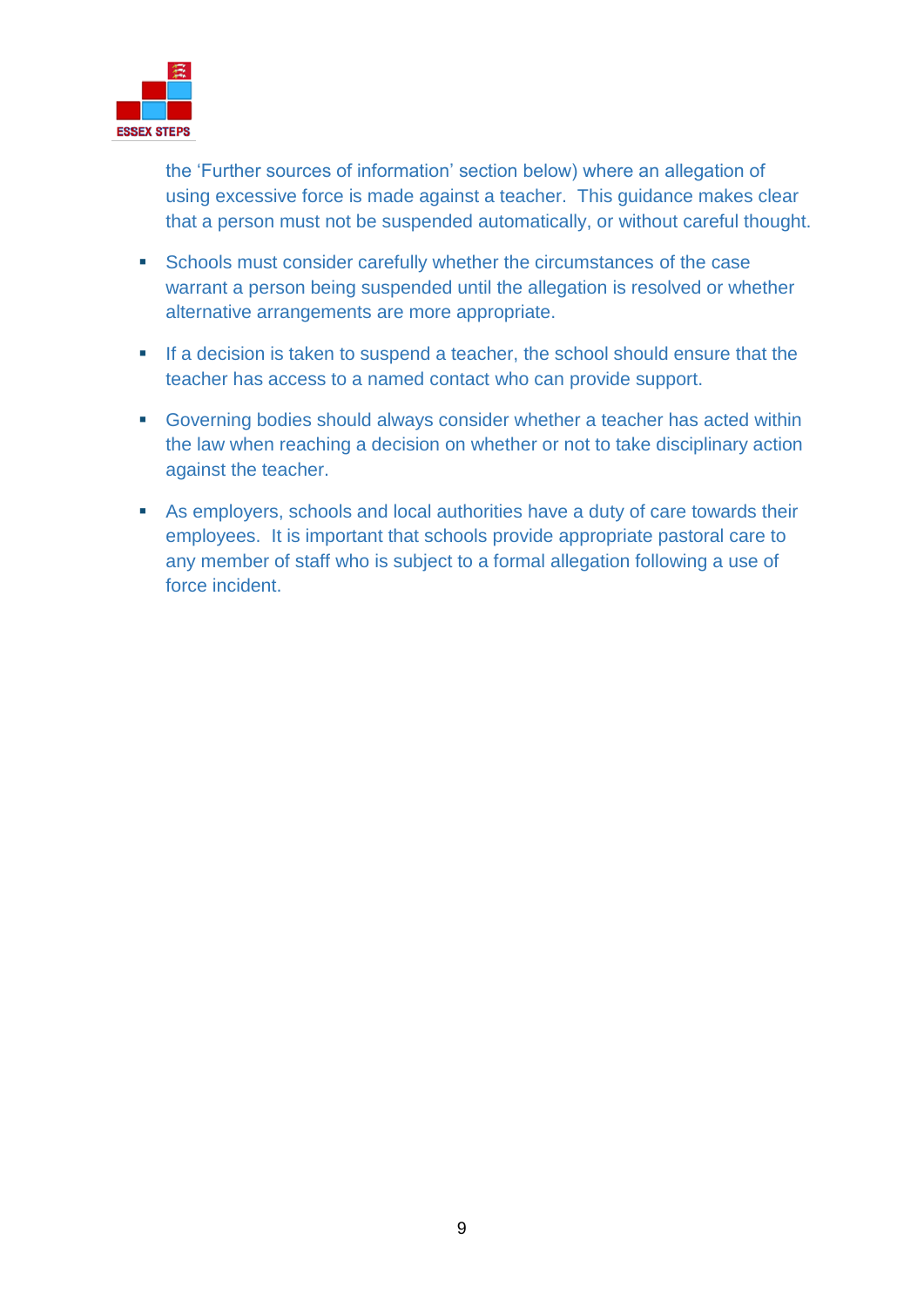

the 'Further sources of information' section below) where an allegation of using excessive force is made against a teacher. This guidance makes clear that a person must not be suspended automatically, or without careful thought.

- **Schools must consider carefully whether the circumstances of the case** warrant a person being suspended until the allegation is resolved or whether alternative arrangements are more appropriate.
- If a decision is taken to suspend a teacher, the school should ensure that the teacher has access to a named contact who can provide support.
- Governing bodies should always consider whether a teacher has acted within the law when reaching a decision on whether or not to take disciplinary action against the teacher.
- As employers, schools and local authorities have a duty of care towards their employees. It is important that schools provide appropriate pastoral care to any member of staff who is subject to a formal allegation following a use of force incident.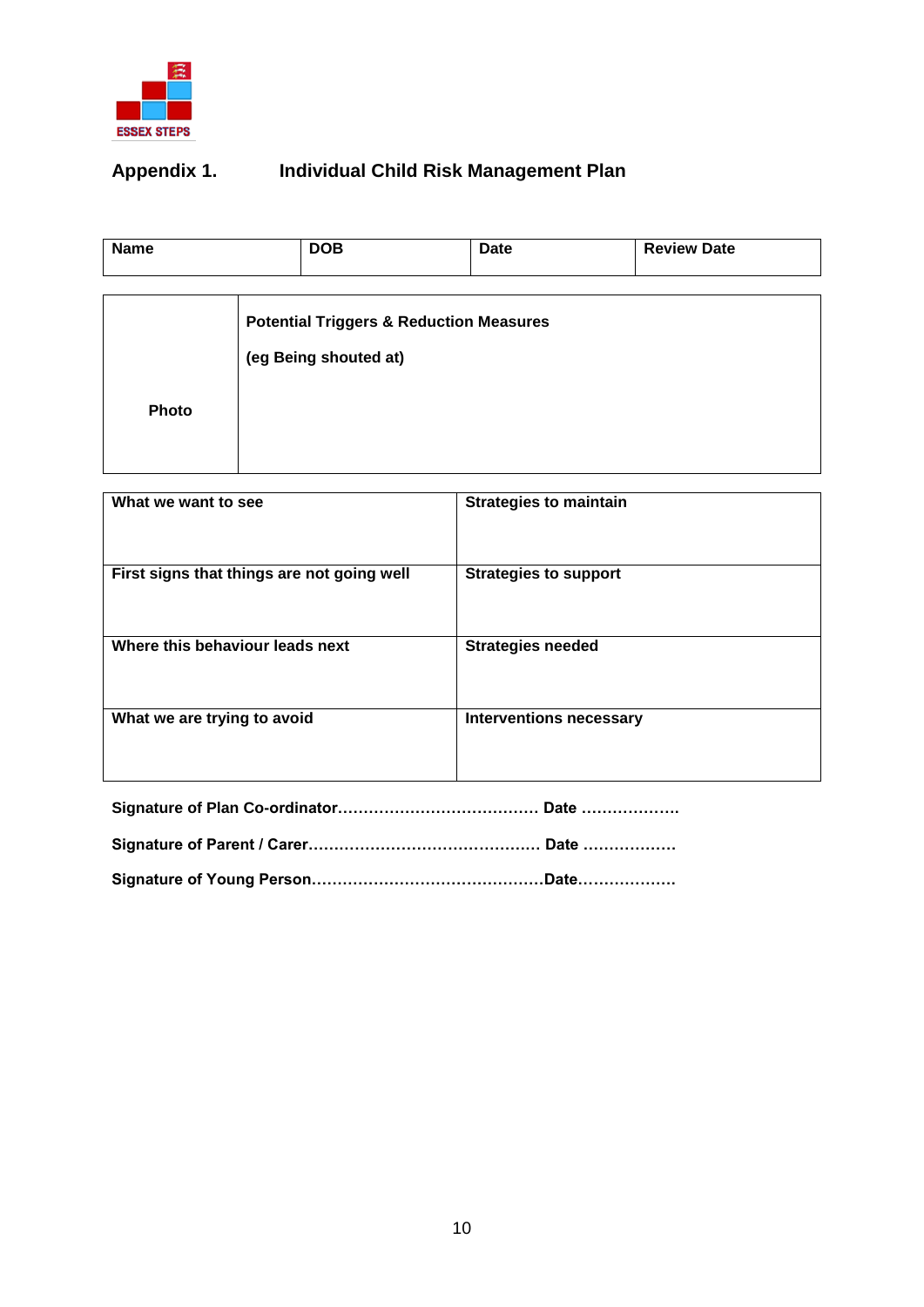

# <span id="page-9-0"></span>**Appendix 1. Individual Child Risk Management Plan**

| <b>Name</b>  | <b>DOB</b>                                                                  | Date | <b>Review Date</b> |
|--------------|-----------------------------------------------------------------------------|------|--------------------|
|              |                                                                             |      |                    |
|              | <b>Potential Triggers &amp; Reduction Measures</b><br>(eg Being shouted at) |      |                    |
| <b>Photo</b> |                                                                             |      |                    |
|              |                                                                             |      |                    |

| What we want to see                        | <b>Strategies to maintain</b>  |
|--------------------------------------------|--------------------------------|
| First signs that things are not going well | <b>Strategies to support</b>   |
| Where this behaviour leads next            | <b>Strategies needed</b>       |
| What we are trying to avoid                | <b>Interventions necessary</b> |

|--|--|

**Signature of Young Person………………………………………Date……………….**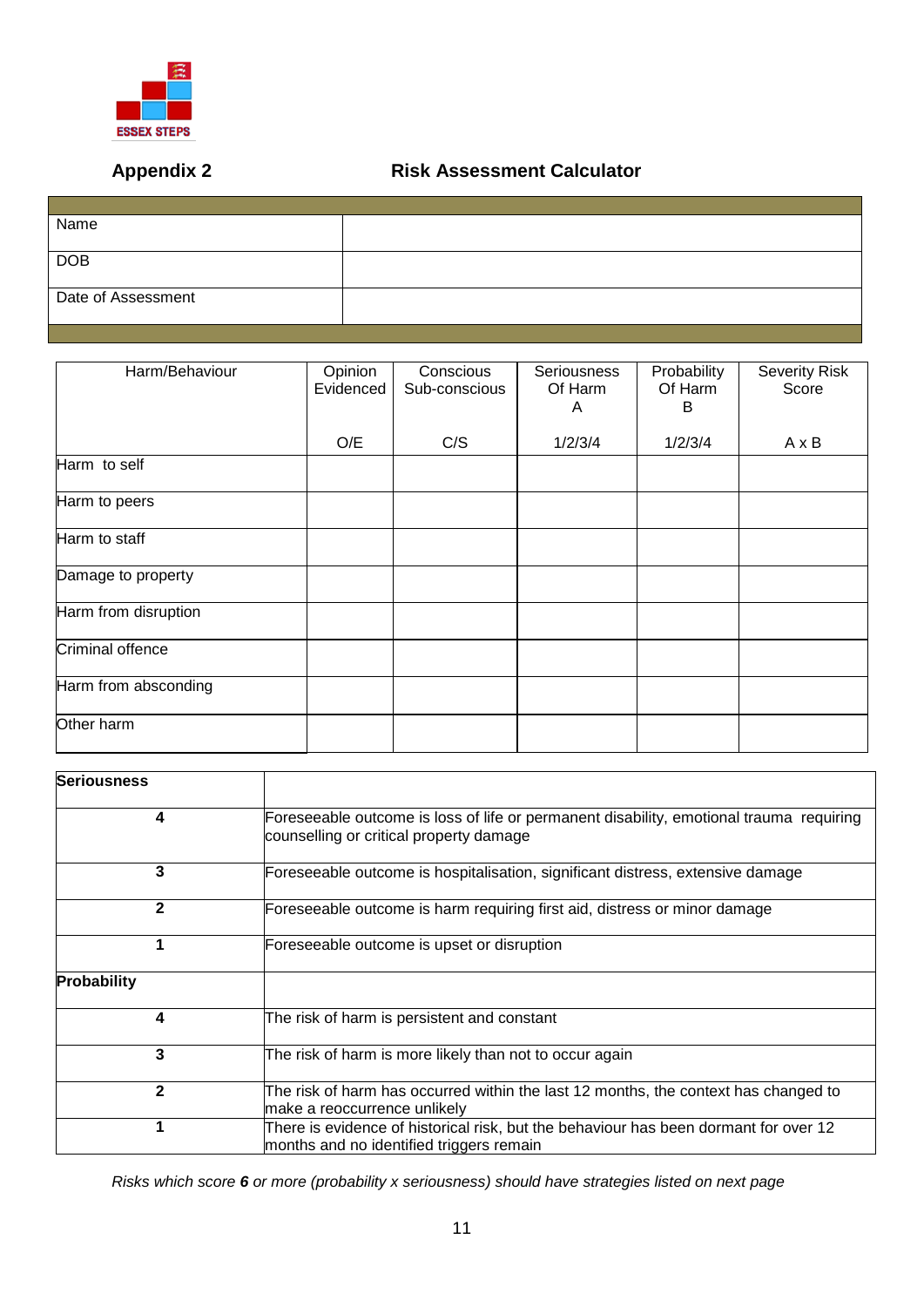

## **Appendix 2 Risk Assessment Calculator**

| Name               |  |
|--------------------|--|
|                    |  |
| <b>DOB</b>         |  |
|                    |  |
| Date of Assessment |  |
|                    |  |
|                    |  |

| Harm/Behaviour          | Opinion<br>Evidenced | Conscious<br>Sub-conscious | <b>Seriousness</b><br>Of Harm<br>A | Probability<br>Of Harm<br>B | <b>Severity Risk</b><br>Score |
|-------------------------|----------------------|----------------------------|------------------------------------|-----------------------------|-------------------------------|
|                         | O/E                  | C/S                        | 1/2/3/4                            | 1/2/3/4                     | $A \times B$                  |
| Harm to self            |                      |                            |                                    |                             |                               |
| Harm to peers           |                      |                            |                                    |                             |                               |
| Harm to staff           |                      |                            |                                    |                             |                               |
| Damage to property      |                      |                            |                                    |                             |                               |
| Harm from disruption    |                      |                            |                                    |                             |                               |
| <b>Criminal offence</b> |                      |                            |                                    |                             |                               |
| Harm from absconding    |                      |                            |                                    |                             |                               |
| Other harm              |                      |                            |                                    |                             |                               |

| <b>Seriousness</b> |                                                                                                                                    |
|--------------------|------------------------------------------------------------------------------------------------------------------------------------|
| 4                  | Foreseeable outcome is loss of life or permanent disability, emotional trauma requiring<br>counselling or critical property damage |
| 3                  | Foreseeable outcome is hospitalisation, significant distress, extensive damage                                                     |
| $\mathbf{2}$       | Foreseeable outcome is harm requiring first aid, distress or minor damage                                                          |
|                    | Foreseeable outcome is upset or disruption                                                                                         |
| Probability        |                                                                                                                                    |
| 4                  | The risk of harm is persistent and constant                                                                                        |
| 3                  | The risk of harm is more likely than not to occur again                                                                            |
| $\mathbf{2}$       | The risk of harm has occurred within the last 12 months, the context has changed to<br>make a reoccurrence unlikely                |
|                    | There is evidence of historical risk, but the behaviour has been dormant for over 12<br>months and no identified triggers remain   |

*Risks which score 6 or more (probability x seriousness) should have strategies listed on next page*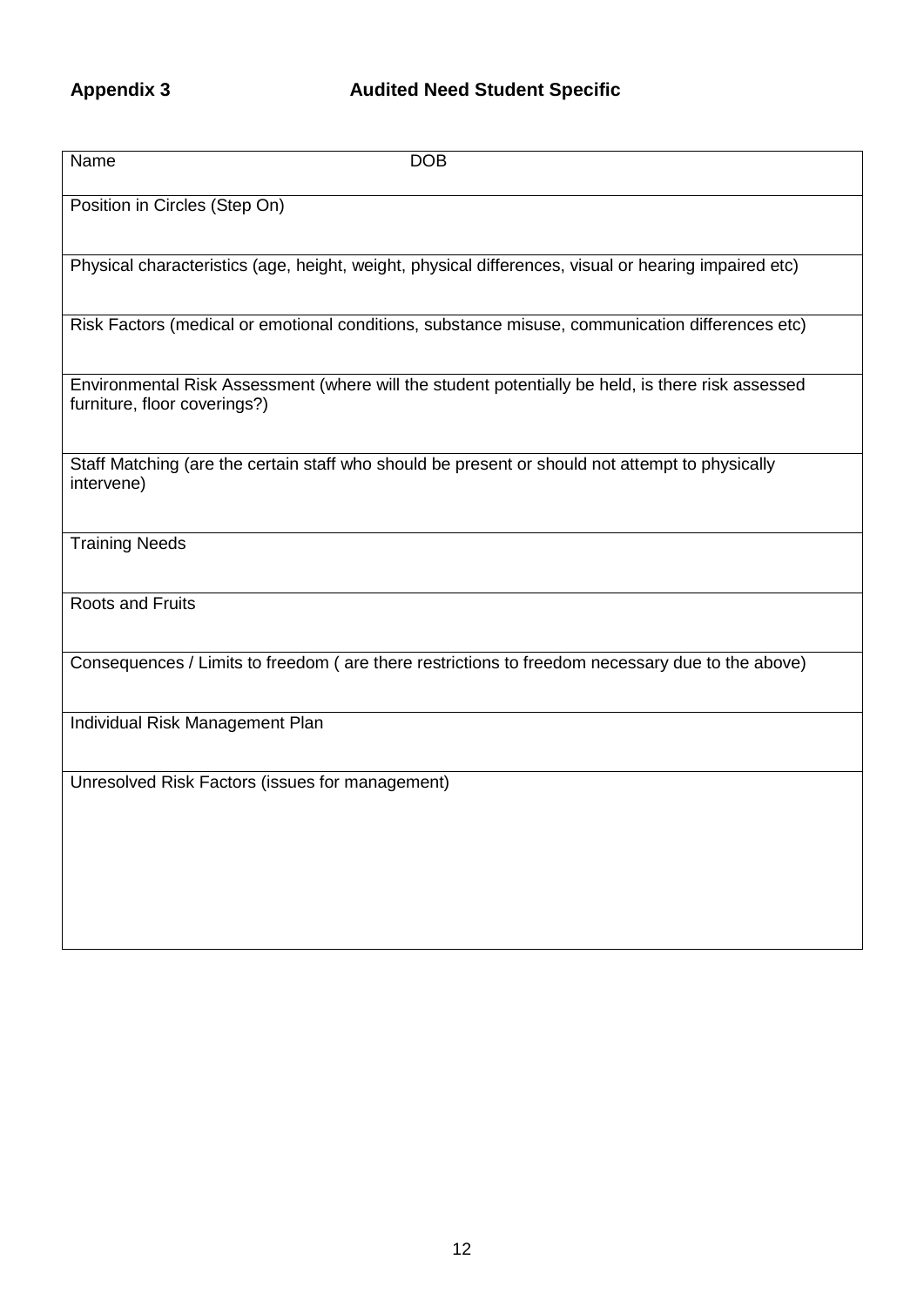# Appendix 3 **Audited Need Student Specific**

| Name<br><b>DOB</b>                                                                                                                |
|-----------------------------------------------------------------------------------------------------------------------------------|
| Position in Circles (Step On)                                                                                                     |
| Physical characteristics (age, height, weight, physical differences, visual or hearing impaired etc)                              |
| Risk Factors (medical or emotional conditions, substance misuse, communication differences etc)                                   |
| Environmental Risk Assessment (where will the student potentially be held, is there risk assessed<br>furniture, floor coverings?) |
| Staff Matching (are the certain staff who should be present or should not attempt to physically<br>intervene)                     |
| <b>Training Needs</b>                                                                                                             |
| <b>Roots and Fruits</b>                                                                                                           |
| Consequences / Limits to freedom (are there restrictions to freedom necessary due to the above)                                   |
| Individual Risk Management Plan                                                                                                   |
| Unresolved Risk Factors (issues for management)                                                                                   |
|                                                                                                                                   |
|                                                                                                                                   |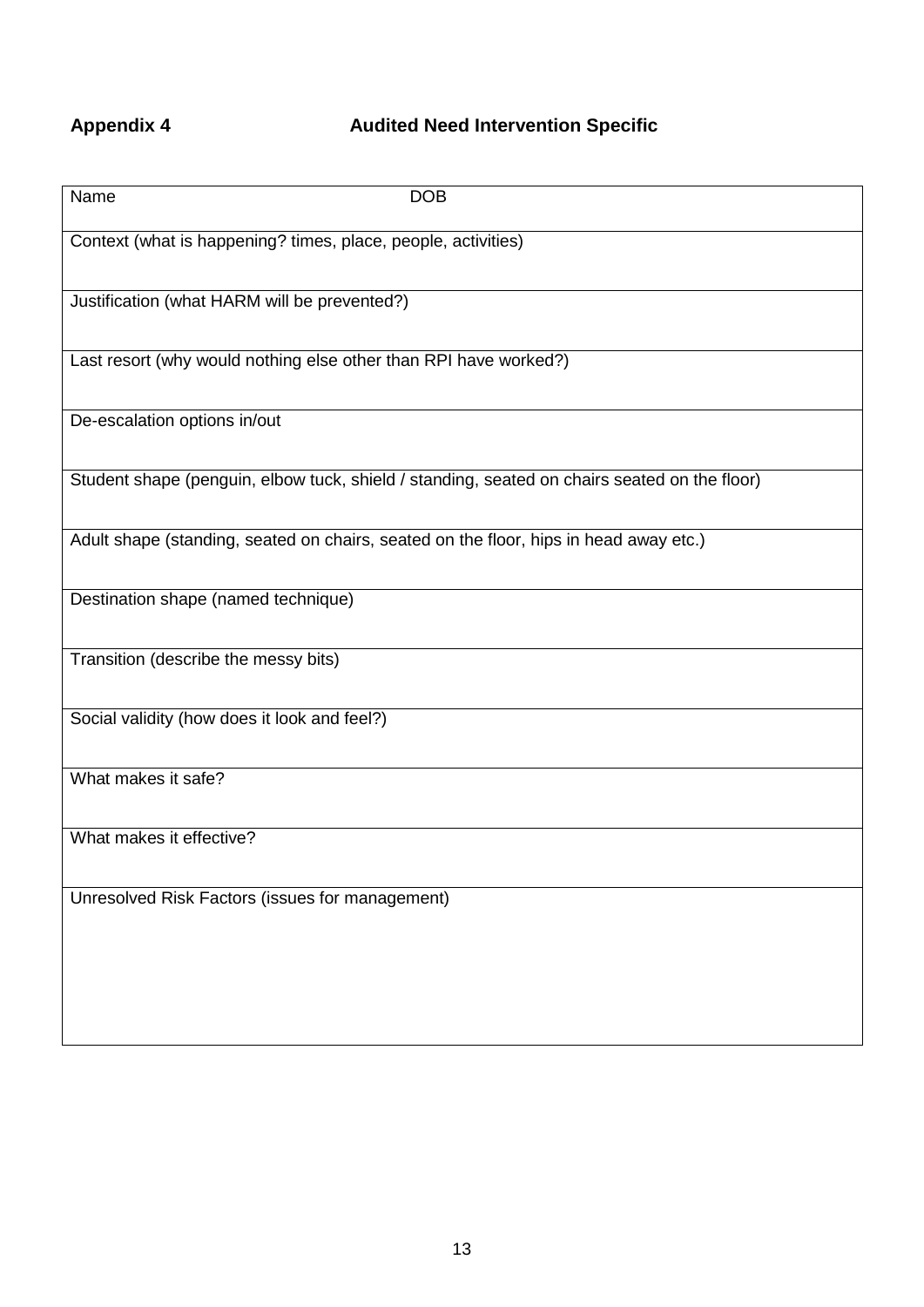# **Appendix 4 Audited Need Intervention Specific**

| Name<br><b>DOB</b>                                                                           |
|----------------------------------------------------------------------------------------------|
| Context (what is happening? times, place, people, activities)                                |
| Justification (what HARM will be prevented?)                                                 |
| Last resort (why would nothing else other than RPI have worked?)                             |
| De-escalation options in/out                                                                 |
| Student shape (penguin, elbow tuck, shield / standing, seated on chairs seated on the floor) |
| Adult shape (standing, seated on chairs, seated on the floor, hips in head away etc.)        |
| Destination shape (named technique)                                                          |
| Transition (describe the messy bits)                                                         |
| Social validity (how does it look and feel?)                                                 |
| What makes it safe?                                                                          |
| What makes it effective?                                                                     |
| Unresolved Risk Factors (issues for management)                                              |
|                                                                                              |
|                                                                                              |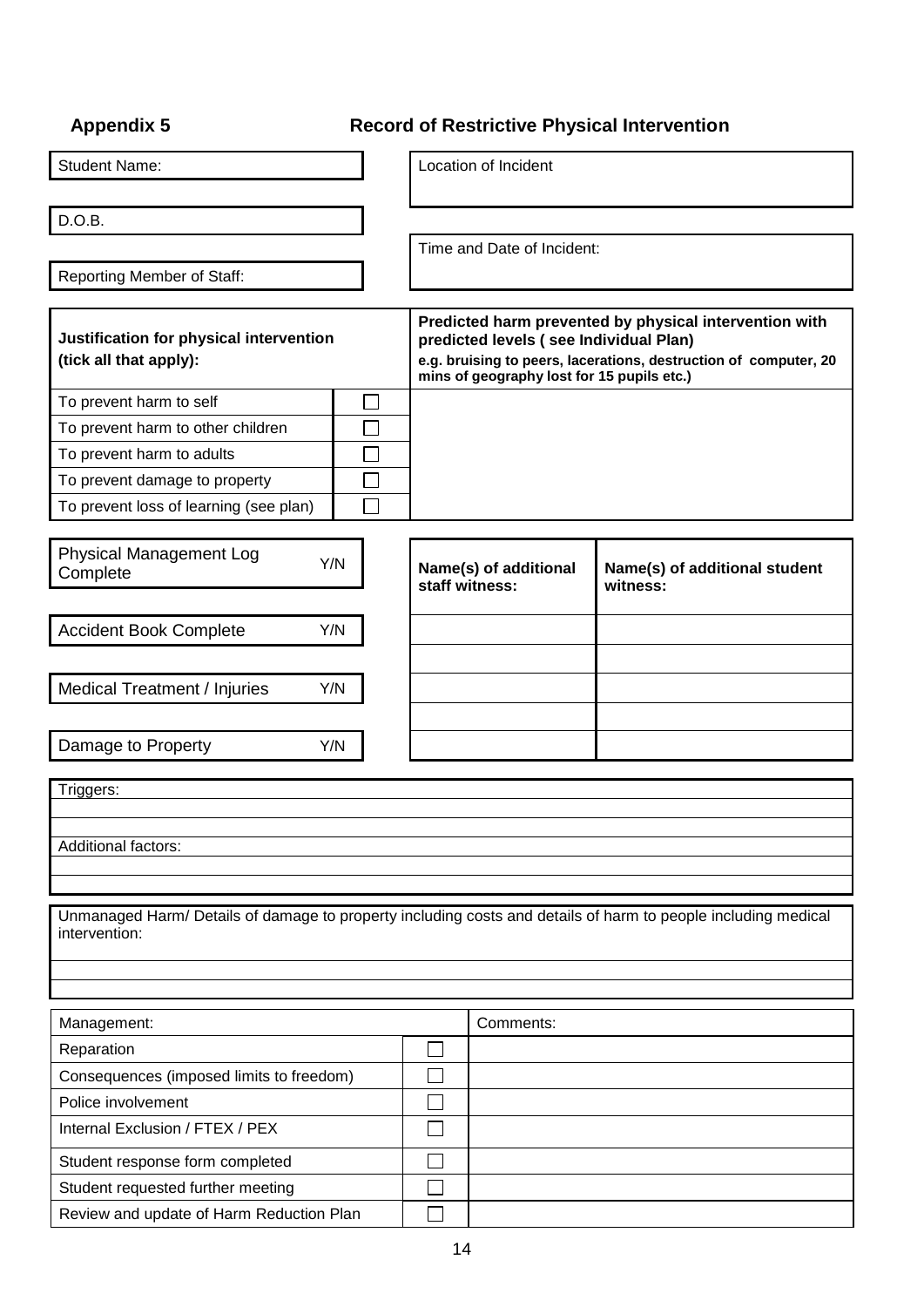| <b>Appendix 5</b>                                                                                                              |                                                                                                                                                                                                                    |                                         | <b>Record of Restrictive Physical Intervention</b> |
|--------------------------------------------------------------------------------------------------------------------------------|--------------------------------------------------------------------------------------------------------------------------------------------------------------------------------------------------------------------|-----------------------------------------|----------------------------------------------------|
| <b>Student Name:</b>                                                                                                           |                                                                                                                                                                                                                    | Location of Incident                    |                                                    |
| D.O.B.                                                                                                                         |                                                                                                                                                                                                                    |                                         |                                                    |
|                                                                                                                                |                                                                                                                                                                                                                    | Time and Date of Incident:              |                                                    |
| Reporting Member of Staff:                                                                                                     |                                                                                                                                                                                                                    |                                         |                                                    |
| Justification for physical intervention<br>(tick all that apply):                                                              | Predicted harm prevented by physical intervention with<br>predicted levels (see Individual Plan)<br>e.g. bruising to peers, lacerations, destruction of computer, 20<br>mins of geography lost for 15 pupils etc.) |                                         |                                                    |
| To prevent harm to self                                                                                                        |                                                                                                                                                                                                                    |                                         |                                                    |
| To prevent harm to other children                                                                                              |                                                                                                                                                                                                                    |                                         |                                                    |
| To prevent harm to adults                                                                                                      |                                                                                                                                                                                                                    |                                         |                                                    |
| To prevent damage to property                                                                                                  |                                                                                                                                                                                                                    |                                         |                                                    |
| To prevent loss of learning (see plan)                                                                                         |                                                                                                                                                                                                                    |                                         |                                                    |
| <b>Physical Management Log</b><br>Y/N<br>Complete                                                                              |                                                                                                                                                                                                                    | Name(s) of additional<br>staff witness: | Name(s) of additional student<br>witness:          |
| <b>Accident Book Complete</b><br>Y/N                                                                                           |                                                                                                                                                                                                                    |                                         |                                                    |
| <b>Medical Treatment / Injuries</b><br>Y/N                                                                                     |                                                                                                                                                                                                                    |                                         |                                                    |
| Damage to Property<br>Y/N                                                                                                      |                                                                                                                                                                                                                    |                                         |                                                    |
| Triggers:                                                                                                                      |                                                                                                                                                                                                                    |                                         |                                                    |
| Additional factors:                                                                                                            |                                                                                                                                                                                                                    |                                         |                                                    |
| Unmanaged Harm/ Details of damage to property including costs and details of harm to people including medical<br>intervention: |                                                                                                                                                                                                                    |                                         |                                                    |
|                                                                                                                                |                                                                                                                                                                                                                    |                                         |                                                    |
| Management:                                                                                                                    |                                                                                                                                                                                                                    | Comments:                               |                                                    |
| Reparation                                                                                                                     |                                                                                                                                                                                                                    |                                         |                                                    |
| Consequences (imposed limits to freedom)                                                                                       |                                                                                                                                                                                                                    |                                         |                                                    |
| Police involvement                                                                                                             |                                                                                                                                                                                                                    |                                         |                                                    |
| Internal Exclusion / FTEX / PEX                                                                                                |                                                                                                                                                                                                                    |                                         |                                                    |
| Student response form completed                                                                                                |                                                                                                                                                                                                                    |                                         |                                                    |
| Student requested further meeting                                                                                              |                                                                                                                                                                                                                    |                                         |                                                    |
| Review and update of Harm Reduction Plan                                                                                       |                                                                                                                                                                                                                    |                                         |                                                    |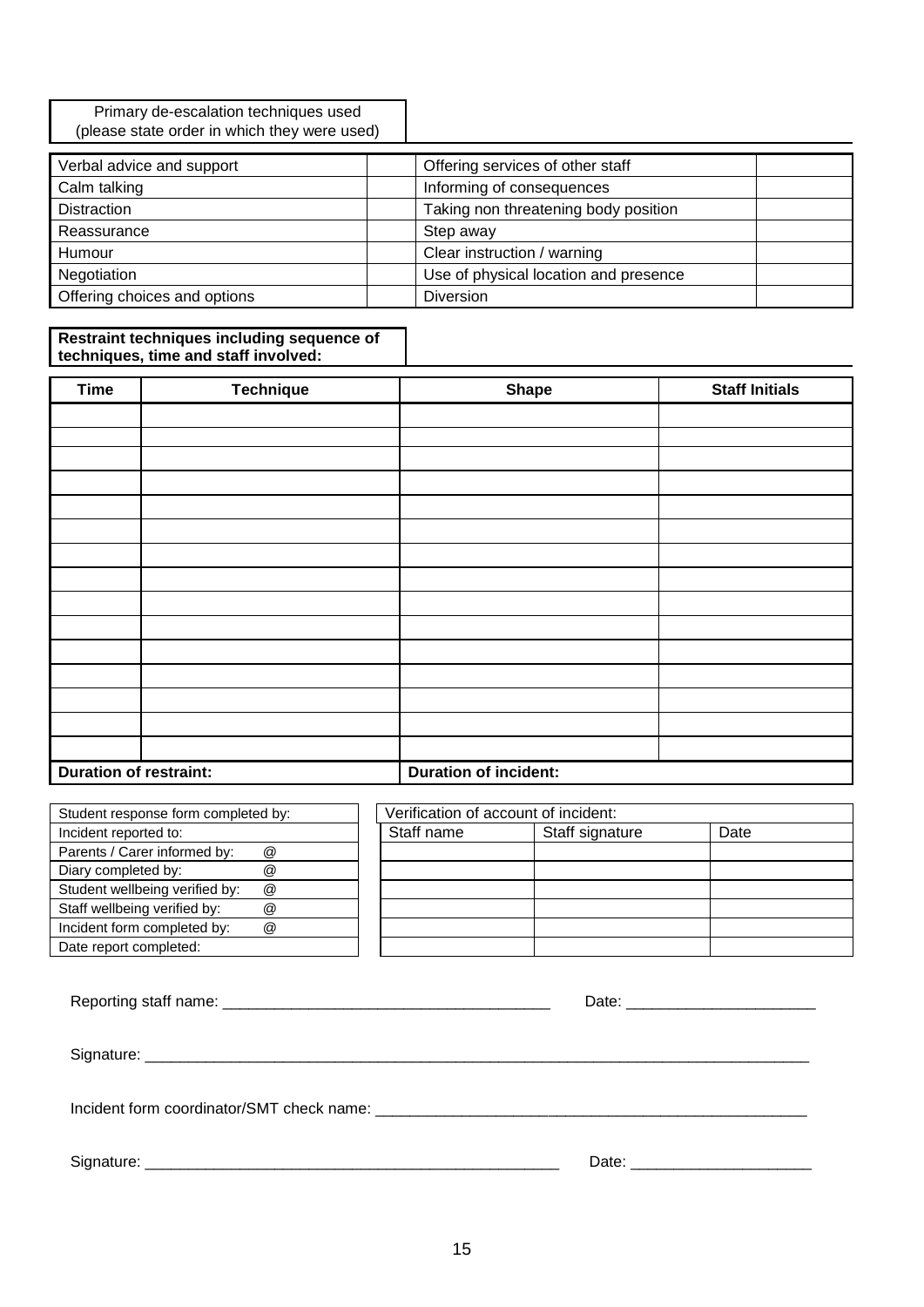Primary de-escalation techniques used (please state order in which they were used)

| Verbal advice and support    | Offering services of other staff      |
|------------------------------|---------------------------------------|
| Calm talking                 | Informing of consequences             |
| <b>Distraction</b>           | Taking non threatening body position  |
| Reassurance                  | Step away                             |
| Humour                       | Clear instruction / warning           |
| Negotiation                  | Use of physical location and presence |
| Offering choices and options | <b>Diversion</b>                      |

#### **Restraint techniques including sequence of techniques, time and staff involved:**

| <b>Time</b>                   | <b>Technique</b> | <b>Shape</b>                 | <b>Staff Initials</b> |
|-------------------------------|------------------|------------------------------|-----------------------|
|                               |                  |                              |                       |
|                               |                  |                              |                       |
|                               |                  |                              |                       |
|                               |                  |                              |                       |
|                               |                  |                              |                       |
|                               |                  |                              |                       |
|                               |                  |                              |                       |
|                               |                  |                              |                       |
|                               |                  |                              |                       |
|                               |                  |                              |                       |
|                               |                  |                              |                       |
|                               |                  |                              |                       |
|                               |                  |                              |                       |
|                               |                  |                              |                       |
|                               |                  |                              |                       |
| <b>Duration of restraint:</b> |                  | <b>Duration of incident:</b> |                       |

| Student response form completed by: |                      | Verification of account of incident: |                 |      |
|-------------------------------------|----------------------|--------------------------------------|-----------------|------|
| Incident reported to:               |                      | Staff name                           | Staff signature | Date |
| Parents / Carer informed by:        | @                    |                                      |                 |      |
| Diary completed by:                 | @                    |                                      |                 |      |
| Student wellbeing verified by:      | @                    |                                      |                 |      |
| Staff wellbeing verified by:        | @                    |                                      |                 |      |
| Incident form completed by:         | $^{\textregistered}$ |                                      |                 |      |
| Date report completed:              |                      |                                      |                 |      |

|  | Date: __________________________ |  |
|--|----------------------------------|--|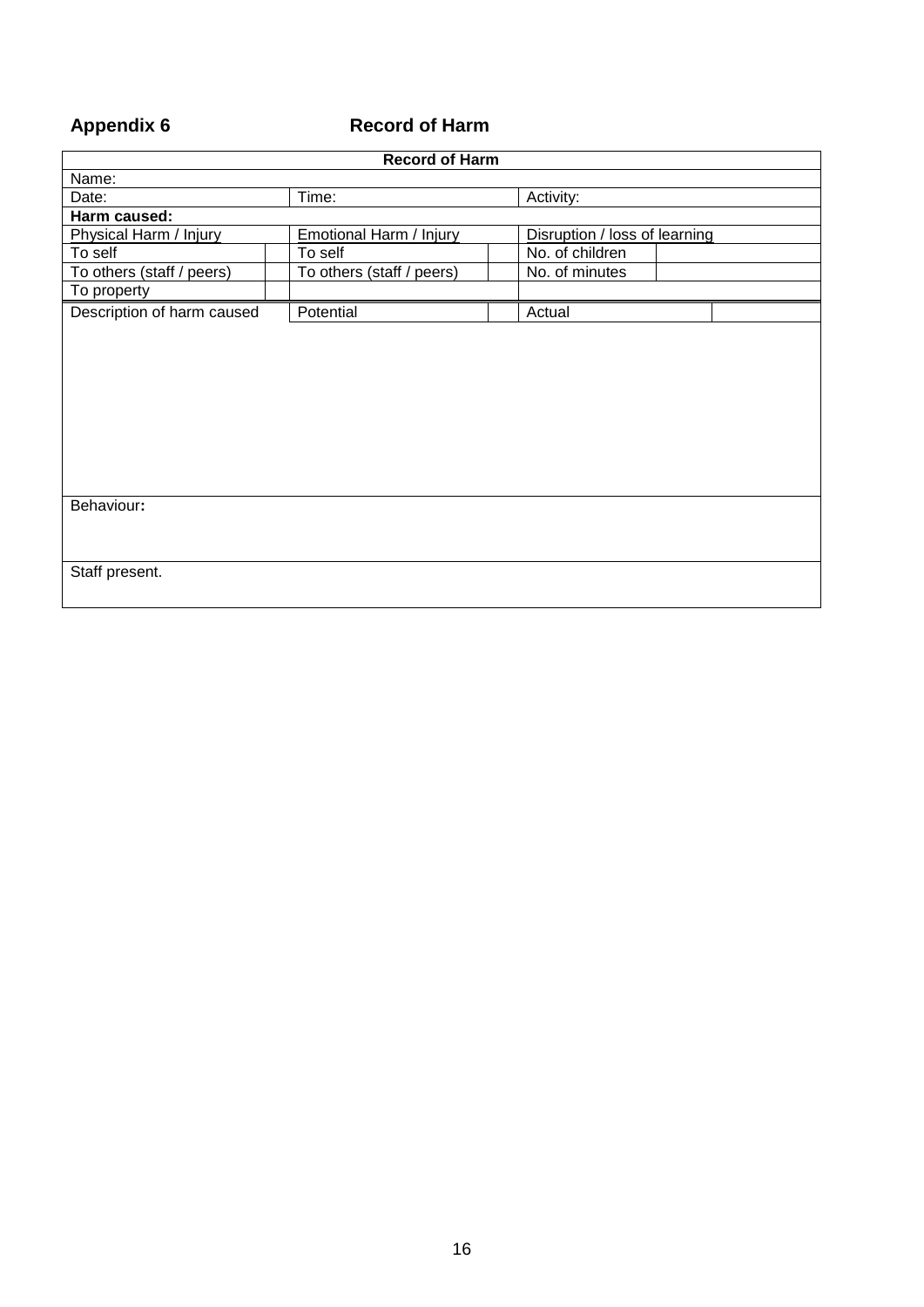# **Appendix 6 Record of Harm**

| <b>Record of Harm</b>                                    |                           |                               |  |  |
|----------------------------------------------------------|---------------------------|-------------------------------|--|--|
| Name:                                                    |                           |                               |  |  |
| Date:                                                    | Time:                     | Activity:                     |  |  |
| Harm caused:                                             |                           |                               |  |  |
| Physical Harm / Injury<br><b>Emotional Harm / Injury</b> |                           | Disruption / loss of learning |  |  |
| To self                                                  | To self                   | No. of children               |  |  |
| To others (staff / peers)                                | To others (staff / peers) | No. of minutes                |  |  |
| To property                                              |                           |                               |  |  |
| Description of harm caused                               | Potential                 | Actual                        |  |  |
|                                                          |                           |                               |  |  |
|                                                          |                           |                               |  |  |
|                                                          |                           |                               |  |  |
|                                                          |                           |                               |  |  |
|                                                          |                           |                               |  |  |
|                                                          |                           |                               |  |  |
|                                                          |                           |                               |  |  |
|                                                          |                           |                               |  |  |
|                                                          |                           |                               |  |  |
| Behaviour:                                               |                           |                               |  |  |
|                                                          |                           |                               |  |  |
|                                                          |                           |                               |  |  |
|                                                          |                           |                               |  |  |
| Staff present.                                           |                           |                               |  |  |
|                                                          |                           |                               |  |  |
|                                                          |                           |                               |  |  |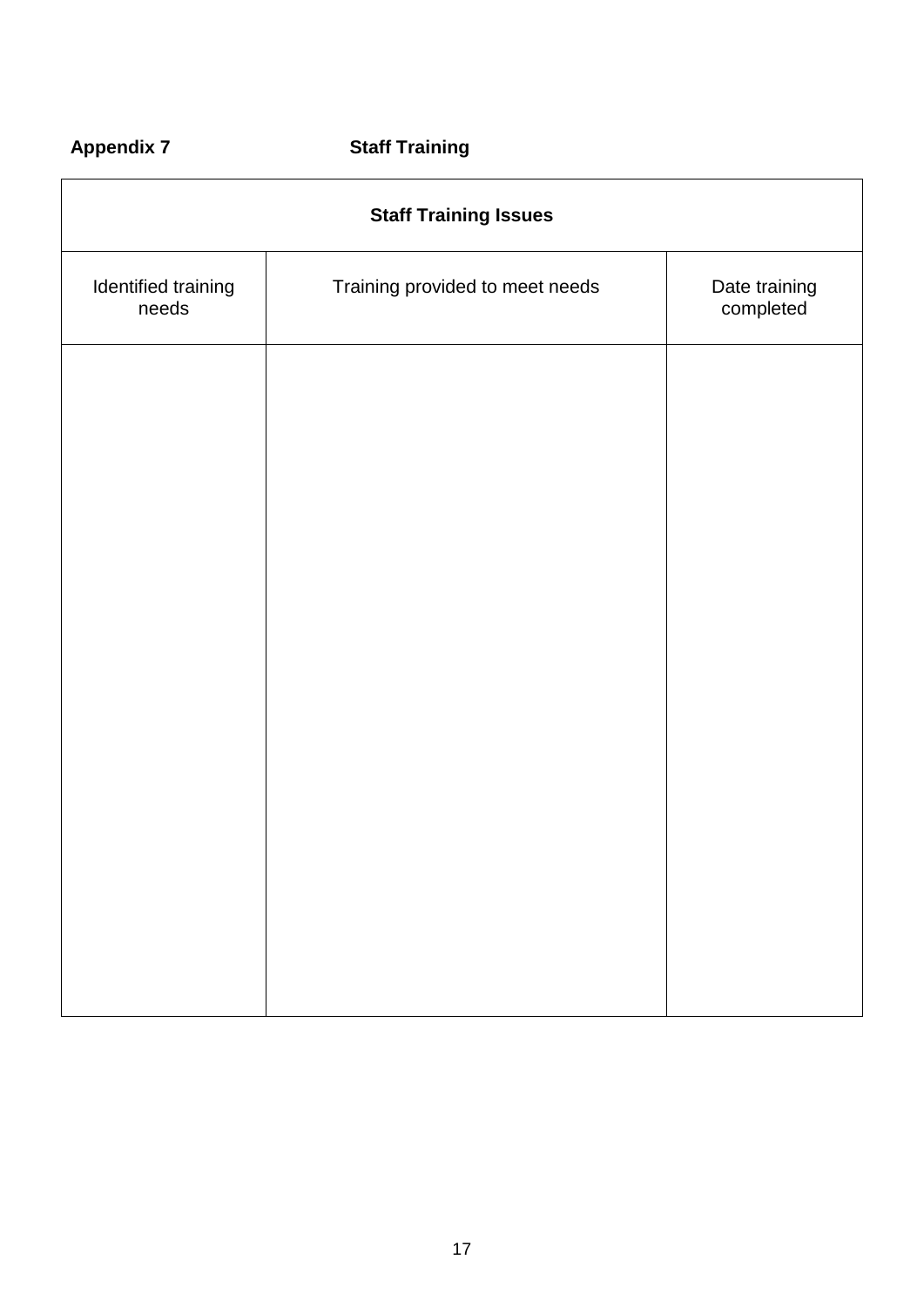# **Appendix 7 Staff Training**

| <b>Staff Training Issues</b> |                                 |                            |  |
|------------------------------|---------------------------------|----------------------------|--|
| Identified training<br>needs | Training provided to meet needs | Date training<br>completed |  |
|                              |                                 |                            |  |
|                              |                                 |                            |  |
|                              |                                 |                            |  |
|                              |                                 |                            |  |
|                              |                                 |                            |  |
|                              |                                 |                            |  |
|                              |                                 |                            |  |
|                              |                                 |                            |  |